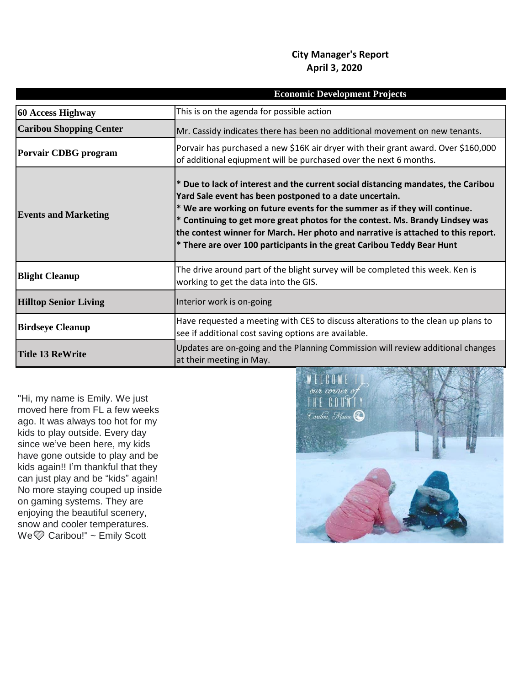## **City Manager's Report April 3, 2020**

| <b>Economic Development Projects</b> |                                                                                                                                                                                                                                                                                                                                                                                                                                                                            |
|--------------------------------------|----------------------------------------------------------------------------------------------------------------------------------------------------------------------------------------------------------------------------------------------------------------------------------------------------------------------------------------------------------------------------------------------------------------------------------------------------------------------------|
| 60 Access Highway                    | This is on the agenda for possible action                                                                                                                                                                                                                                                                                                                                                                                                                                  |
| <b>Caribou Shopping Center</b>       | Mr. Cassidy indicates there has been no additional movement on new tenants.                                                                                                                                                                                                                                                                                                                                                                                                |
| <b>Porvair CDBG</b> program          | Porvair has purchased a new \$16K air dryer with their grant award. Over \$160,000<br>of additional eqiupment will be purchased over the next 6 months.                                                                                                                                                                                                                                                                                                                    |
| <b>Events and Marketing</b>          | * Due to lack of interest and the current social distancing mandates, the Caribou<br>Yard Sale event has been postponed to a date uncertain.<br>* We are working on future events for the summer as if they will continue.<br>* Continuing to get more great photos for the contest. Ms. Brandy Lindsey was<br>the contest winner for March. Her photo and narrative is attached to this report.<br>* There are over 100 participants in the great Caribou Teddy Bear Hunt |
| <b>Blight Cleanup</b>                | The drive around part of the blight survey will be completed this week. Ken is<br>working to get the data into the GIS.                                                                                                                                                                                                                                                                                                                                                    |
| <b>Hilltop Senior Living</b>         | Interior work is on-going                                                                                                                                                                                                                                                                                                                                                                                                                                                  |
| <b>Birdseye Cleanup</b>              | Have requested a meeting with CES to discuss alterations to the clean up plans to<br>see if additional cost saving options are available.                                                                                                                                                                                                                                                                                                                                  |
| <b>Title 13 ReWrite</b>              | Updates are on-going and the Planning Commission will review additional changes<br>at their meeting in May.                                                                                                                                                                                                                                                                                                                                                                |

"Hi, my name is Emily. We just moved here from FL a few weeks ago. It was always too hot for my kids to play outside. Every day since we've been here, my kids have gone outside to play and be kids again!! I'm thankful that they can just play and be "kids" again! No more staying couped up inside on gaming systems. They are enjoying the beautiful scenery, snow and cooler temperatures. We Caribou!" ~ Emily Scott